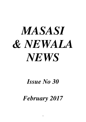# *MASASI & NEWALA NEWS*

# *Issue No 30*

*February 2017*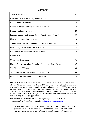#### **Contents**

| A note from the Editor                                       | $\overline{4}$ |
|--------------------------------------------------------------|----------------|
| Christmas Letter from Bishop James Almasi                    | 5              |
| Bishop James' Birthday Walk                                  | 12             |
| Brenda in Africa – address by Revd Tim Brooke                | 18             |
| Brenda – in her own words                                    | 20             |
| Personal memories of Brenda Stone– from Susanna Grunsell     | 22             |
| Hapa kazi tu - Get down to work!                             | 23             |
| Annual letter from the Community of St Mary, Kilimani        | 25             |
| Fund raising for the Blind Unit at Mtandi                    | 28             |
| Report from the Friends of Masasi & Newala                   | 30             |
| <b>SWIM 2016</b>                                             | 35             |
| <b>Connecting Classrooms</b>                                 | 36             |
| Hostels for girls attending Secondary Schools in Masasi Town | 37             |
| The Diocese of Newala                                        | 38             |
| <b>Stop Press: News from Rondo Junior Seminary</b>           | 39             |
| Friends of Masasi & Newala Gift Aid Form                     | 40             |

"Masasi & Newala News" is produced by Gill Hucker with assistance from a number of other Masasi supporters. The Editorial Team would be very pleased to hear from anyone who has any comments, articles or information that they would like included in the next issue. If you know of anyone who would like to receive future copies of "Masasi & Newala News", please send their name and address to Gill Hucker at the address below. There is no charge for the newsletter, but contributions towards the cost of postage are always appreciated.

Gill Hucker, 6 Erme Park, Ermington, Ivybridge, Devon PL21 9LY Telephone : 01548 830407 Email : gillhucker@btinternet.com

*Please note that the opinions expressed in "Masasi & Newala News" are those of the individual writers, and not necessarily those of the Editorial Team, who nevertheless reserve the right to edit contributions as they think fit.*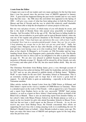#### **A note from the Editor**

A happy new year to all our readers and very many apologies for the fact that more than a year has passed since the previous issue of M&NN appeared in January 2016. A great deal has happened during the past twelve months and we very much hope that this issue – the 30th since this newsletter first appeared in the Spring of 2002 – will give you a taste of what has been taking place in both the Diocese of Masasi and that of Newala and the way in which this relatively small charitable Trust has been able to help the development of various projects in this area.

But one very sad piece of news, of which many of you will already be aware, and that is the death of Brenda Stone who passed away peacefully in hospital on Tuesday, 2nd November 2016 at the age of 90. She had been in failing health for some time, but nevertheless in good spirits and in typical Brenda fashion, when she sent one of her regular and generous donations to the Friends at the beginning of August she wrote *"I have had many ups and downs this year, with at least 3 spells in hospital. Now I am in a convalescent/old people's home 'they say' for six weeks. I keep planning my escape but so far have not got any good ideas".* Sadly, her younger sister, Margaret, died six days after Brenda, at the age of 86 and Brenda had said they were having a race as to who would go first! Brenda's funeral, took place at her church, St Margaret's, in Coventry on 25th November and her longstanding friend, Kuan, from Singapore paid a particular tribute to her. Tim Brooke spoke about her time in Africa and we are delighted to be able to print his address on page 18. We are also very pleased to publish Susanna Grunsell's personal memories of Brenda on page 22. Brenda will be missed by all her friends, not only in Coventry and other parts of the UK, but also much further afield. May she rest in peace.

The Christmas Newsletter from Bishop James gives a very thorough account of what the Diocese has achieved during 2016 under his leadership, and also his plans for 2017 and we are also pleased to publish details of Bishop James' "Birthday Walk" to raise funds for the new Girls' Secondary School at Namasakata. This is an extremely exciting project and we hope that it will receive a great deal of support. To walk 40 miles is quite an undertaking – especially in the heat of the Tanzanian sunshine.

Other articles include the Annual Letter from the CMM Sisters at Kilimani and Dirk Juttner's report on his visit to a number of CMM Houses in Tanzania. There is a detailed report on the work of The Friends – with an appeal for a new Treasurer and a report from Stephen Jarvis on the very successful "SWIM" fund raising initiative,, as well as a report on Steve Arbery's fund raising efforts on behalf of the Blind Unit at Mtandi. There is also an interesting report from Jennifer Oakley on her school's links with Mnara Primary School on the Rondo plateau as well as a report on the two hostels for girls who attend Secondary Schools in Masasi Town. And last but not least, a brief report on the Diocese of Newala. As we do not receive any news from Bishop Oscar, the Friends concentrate their efforts on supporting Dr Lawi Issa who is doing amazing work in re-establishing the new St Michael's Health Centre at Lulindi – where Brenda worked so many years ago. We hope you enjoy this latest issue of M&NN and apologise again for the long delay since the previous issue.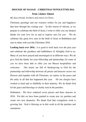#### **DIOCESE OF MASASI : CHRISTMAS NEWSLETTER 2016 from +James Almasi**

*My dear friends, brothers and sisters in Christ,*

Christmas greetings and our warmest wishes for joy and happiness that lasts through the coming year. In this season of Advent, as we prepare to celebrate the birth of Jesus, I write to offer you our deepest thanks for your love for us and to express ours for you. We do celebrate this great love seen in the birth of Jesus in Bethlehem and ours to share with you this Christmas 2016.

Looking back over 2016 : it is good to look back over the past year and celebrate the goodness and faithfulness of Almighty God to us. Many of you have prayed and encouraged us in different ways. We do give God the thanks for your fellowship and partnership; for some of you we have been able to offer you our Masasi hospitalities and welcomes. Our hearts are full of thanksgiving to God for the partnership and fellowship between all priests and deacons across our Diocese and together with all Christians, we rejoice in the peace and the unity in all that has happened this year. All our clergies have worked so hard and so faithfully in their ministry. We do thank God for his grace and blessings so clearly seen in the parishes.

Ordination : We have ordained seven priests and three deacons in 2016. For this we have been pushed to create new six parishes and create two new deaneries. We thank God that evangelism work is growing fast. God is blessing us in this work in all the parishes and outstations.

4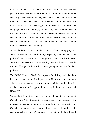Parish visitations : I have gone to many parishes, even more than last year. We have seen many confirmations totalling about nine hundred and forty seven candidates. Together with some Canons and the Evangelism Team we have spent, sometimes up to five days in a Parish to teach and encourage, to minister and to bless the congregations there. We enjoyed some very rewarding seminars in Liwale and in Kilwa Masoko – both of these churches are very small and are faithfully witnessing to the love of Jesus in very dominant Muslim communities: "difficult environments" as one church secretary described his community.

Across the Diocese, there are also some excellent building projects. We have tried to start new buildings, especially churches and some parish offices. The lack of rain this year that has meant bad harvests and this has reduced the incomes leading to reduced money available for the offerings, Christians have been giving sacrificially for their parishes.

The PWDF (Primates World Development Fund) Projects in Tunduru have seen many great developments in 2016 where seventy two villages are experiencing transformation through increased and readily available educational opportunities in agriculture, nutrition and HIV/AIDS.

We celebrated the 90th Anniversary of the foundation of our great Cathedral on 28th of August. It was a marvellous occasion with thousands of people worshipping with us for the service outside the Cathedral, including guests from our link Dioceses of Hereford, UK and Montreal, Canada. We so enjoyed the visits of Bishop Richard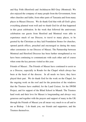and Kay Frith (Hereford) and Archdeacon Bill Gray (Montreal). We also enjoyed the company of many people from the Government, from other churches and faiths, from other parts of Tanzania and from many places in Masasi Diocese. We do thank God that with all God's glory everything planned went well and we thank God for all that happened in this great celebration. In the week that followed the anniversary celebration our guests from Hereford and Montreal were able to experience much of our Diocese, to travel to many places, to be greeted by the Christians as they laid Foundation Stones for churches, opened parish offices, preached and encouraged us during the many other ceremonies in our Diocese of Masasi. The Partnership between Montreal and Hereford Dioceses has been further strengthened as we have been continuing to communicate with each other and of course when some the key persons visited us this year.

Friends of Masasi ; The Friends of Masasi have continued to assist us as a Diocese, especially in Rondo for the Chapel which always has been at the heart of the diocese. In all needs we have, they have played their part. We do thank God for the work on the Chapel, for the ongoing work on the roof and for the protection of the windows that the Trustees have enabled; for the Land Cruiser, for the SWIM Project, and for support of the Blind School in Mtandi. The Trustees hard work and their love for Masasi is longstanding and always very generous and together with the prayers and support of many in the UK through the Friends of Masasi you all mean very much to us all and to me as Bishop. I do thank you, our friends and supporters, and the Trustees themselves.

6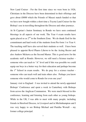New Land Cruiser : For the first time since we were born in 1926, Christians in the Diocese have been determined in their offerings and gave about £8000 which the Friends of Masasi match funded so that we have now bought within a short time a Toyota Land Cruiser for the Bishop's use in travelling throughout the Diocese and other journeys.

At St Cyprian's Junior Seminary in Rondo we have seen continued blessings in all aspects of our work. The Year 4 exam results have again placed us as  $2<sup>nd</sup>$  in the Southern Zone. We do thank God for the commitment and hard work of the students from Pre-form 1 to Year 4. The teaching staff have also served their students so well. I have been pleased to appoint Revd Phares Lihewe to be the Acting Rector and also Andrew Mchawa as the Second Master. This is good news for the academic staff at Rondo. However, we still need a Science teacher – someone who can teach to "A" level and if this was possible we could equip our boys in a better way for their education and perhaps become the 1<sup>st</sup> School in exam results. We do pray for a science teacher someone who can teach well and train others also. Perhaps you know someone who would come to Rondo for even one year?

January visit to England : I was invited to attend the newly-appointed Bishops' Conference and spent a week in Canterbury with Bishops from across the Anglican Communion. We were much blessed in this conference, learning and listening from each other as young bishops. While in the UK, I was able to meet with many people; including friends in Hereford Diocese, in Liverpool and in Michinhampton and I was very happy to see Bishop Michael and Punitha Westall – my former college principal.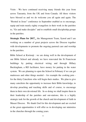Visits : We have continued receiving many friends this year from across Tanzania, from the UK and from Canada. All these visitors have blessed us and we do welcome you all again and again. The "Rooted in Jesus" conference in September enabled us to encourage, equip and train nearly eighty evangelists in their work in the parishes to, "Go and make disciples" and to establish small discipleship groups in the parishes.

**Strategic Plans for 2017** : the Management Team, Synod and I are working on a number of great projects across the Diocese together with developments to promote the ongoing pastoral care and worship in the parishes.

Bible School at Kwitonji : we are doing well in the development of our Bible School and already we have renovated the St Franciscan buildings by putting electrical wiring and through Hillary Buckingham, a RIJ facilitator, have money for putting in the water system. We are planning to open the School in February if we can get mattresses and other things needed – for example the cooking pots for the thirty Catechists who will begin their studies. We plan to give many catechists the opportunity to increase their Bible knowledge, to develop preaching and teaching skills and of course, to encourage them in their own devotional life. In so doing we shall inspire them in their leadership of the parishes and out-stations; this is a highly strategic task for the growth of the church and development of faith in Masasi Diocese. We thank God for this development and are excited at the great opportunities it will offer us in developing our ministries in the churches through the coming years.

8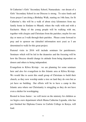St Catherine's Girls' Secondary School, Namasakata : our dream of a Girls' Secondary School in our Diocese is strong. To raise funds and focus prayer I am doing a Birthday Walk, starting on 14th June, for St Catherine's; this will be a walk of about sixty kilometers from my family home in Sindano to Mtandi, where the walk with end with a Eucharist. Many of the young people will be walking with me, together with clergies and Christians from the parishes; maybe for one day or more as I walk through their parishes. Please come forward to pray and to sponsor me (detailed information next year) as I am determined to walk for this great project.

Pastoral visits in 2016 will include seminars for parishioners. Seminars which will be led in the deaneries and the focusing will be how the Diocese should change its attitude from being dependent on donors and others to being independent.

Evangelism to Kilwa Kivinje : we are planning for some seminars here and also for evangelism in this Islamic area at Kilwa Kivinje. We would like to assist this small group of Christians to build their church, as they now worship under a tree on land they do own but as yet have no building. Our efforts will be to have a camp in this Islamic area where our Christianity is struggling as they do not have even a shelter for worshipping.

Rooted in Jesus Junior : we will insist on the ministry for children as we begin a new department which Mama Catherine Ligunda, who has just finished her Diploma Course in Carlisle College in Kenya, will lead.

9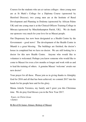Courses for the students who are at various colleges : three young men are at St Mark's College for a Diploma Course (sponsored by Hereford Diocese); two young men are at the Institute of Rural Development and Planning in Dodoma (sponsored by African Palms UK) and one young man is at the Clinical Officers Training College in Mtwara (sponsored by Minchinhampton Parish, UK}. We do thank our sponsors very much for your love for us Masasi people.

Our Dispensary has now been designated as a Health Centre by the Government – good news! The development of the Health Centre in Mtandi is a great blessing. The buildings are finished, the doctor's house in completed but we have no doctor. We are still looking for a doctor for this new Health Centre. Anyone who would like to volunteer is welcomed. Perhaps you know someone who would like to come to Masasi for even a few months or longer and work with us and to lead the training of others. A genuine Masasi 'welcome' awaits our new doctor!

Your prayer for all these. Please join us in giving thanks to Almighty God for 2016 and all that has been achieved; we commit 2017 into his hands for his people here and for his glory.

Mama Askofu Veronica, my family and I greet you this Christmas time. We do pray God blesses you in the New Year 2017.

*Yours, in Christ Jesus +James* 

#### Rt Revd Dr James Almasi, Bishop of Masasi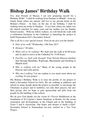# **Bishop James' Birthday Walk**

Yes, dear Friends of Masasi, I am now preparing myself for a Birthday Walk! I shall be walking from Sindano to Mtandi - from my family home where my parents still live to my present home in the Bishop's House. In June, on the day of my birthday, I shall be walking from my home in Sindano. It was here where my father was the church catechist for many years and my mother was my Sunday School teacher. With my fellow walkers, we will finish the walk with a celebration Eucharist in the Cathedral so launching the project to build Namasakata Girl's Secondary School.

This is all for a very special reason. First let me give you the details:

- *Date of my walk?* Wednesday, 14th June 2017
- *Distance?* 40 miles
- *When will we be walking?* We shall start the walk at 05.00 hours and we plan to arrive at the Cathedral for 15.00 hours.
- *Parishes we shall walk through?* Four Newala Diocese parishes then through Mumbaka, Wapiwapi, Mkomaindo and finishing in Mtandi itself.
- *Who is walking with me?* Many of the young people in the Diocese and some priests.
- *Why am I walking?* Let me explain to you much more about our exciting 10 year project …

My Bishop's Birthday Walk is to raise the profile of our project to build a Secondary School for Girls. We are walking to publicise and inform as many people about the project as possible, to encourage the Christians in prayer and to mobilize, not only their prayers, but also their giving; also we hope to gain sponsorship and gifts from our people for the building of this school.

We do give God thanks for the vision of +Trevor Huddleston in the foundation of St Cyprian's Junior Seminary at Rondo, for the recent restoration and developments in the Chapel and in the building of Years 5 and 6 classrooms. Our hopes and dreams to build a Girls' Secondary School at Namasakata are now centred on a Ten Year Project.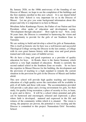By January 2026, on the 100th anniversary of the founding of our Diocese of Masasi, we hope to see the completion of the buildings and the first students enrolled in this new school. It is our shared belief that this Girls' School is very important for us in the Diocese of Masasi. Let me give you some background information about this project and why it is important to us here in Masasi.

Mwalimu Julius Kambarage Nyrere, the Father of our Nation and first President, often spoke of education and development saying, "Development through education". How right he was! Now, some 56 years later, the Diocese is committed to harnessing the vision and the opportunity to provide for the girls of our Southern Zone in Tanzania.

We are seeking to build and develop a school for girls at Namasakata. This is itself an historic site for here was a well-known and successful Theological College serving the Diocese in the last century, a College with its own great famous history with many wise and good priests trained and with many years of faithful service.

We do have a long and good experience as a provider of quality education for boys. At Rondo, there is the Junior Seminary which achieves a very high standard of education. Rondo is currently the second ranked school in the Southern Zone on results. So we have the expertise in Masasi Diocese for the building, the development and the provision of teaching to a high standard to remedy the current situation in the provision for girls in the Diocese of Masasi and further afield.

This new school will provide high quality teaching and learning; education of a high quality across the curriculum will be available to girls of all faiths and those with none. The accommodation provided will provide a safe place and a loving environment for girls, for their study, for quality living recreation; a place of security to live, to learn, to grow and to thrive. It will be a school where potential and gifts can be harnessed and encouraged, released and expressed; a place where faith is developed, matured and expressed in the life and witness of the community within which it is situated. The vision is strong, the purposes are proven, the potential is very exciting and the Diocese is committed to this project: Namasakata Girls' Secondary School.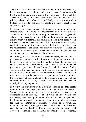The ruling party under our President, Rais Dr John Pombe Magafuli, has an aspiration to provide free and safe secondary education for girls but the cost to the Government is truly enormous – too great for Tanzania just now, so parents have to pay fees for education after primary school. Out of an often small budget - a harvest dependant budget - there is often not money available in a family budget for the education of girls.

In these days of the development of attitudes and opportunities, in the current changes in culture, the development of Namasakata Girls' Secondary School is a key opportunity. Indeed we would suggest this school is a necessity for the girls of the Southern Zone so that they can achieve their full potential and fulfill their God-given destiny. It follows too that educated mothers will in turn provide better homes and better upbringing for their children, which will in turn impact on the development of the nation, potentially of Africa too. Tanzania is committed to improving educational opportunities for girls and we wish to play our part in this national programme.

Historically, in Masasi as in most African countries, the education of girls was not seen as a priority; it was not as important as it was for boys. Boys were to be prepared for their key roles in the home, in life and in the community. Men had the role as head of the family, as the provider and protector. It was through the male line that the family was known; the man was the link with the past and the ancestors. It was the task of the woman to bear children, to manage the home, to provide and care for the man; she was to provide the heir, the children, the food and clothing, to attend to the nurture and education of the children and as well as this, to ensure the children provided financial security for the ageing parents.

In recent years attitudes to women, to their education and their career opportunities have changed; women's own aspirations have changed. Women, as in the West, are now active in politics, in business, in commerce and in industry. In all walks of life, women are discovering their own significant contributions to their villages, their local communities and to the nation. There are a number of reasons for this: the international political pressures on governments, including our own present government – led by the United Nations and the African Leader's Forum, the rapidly increasing and developing educational and economic opportunities open to women,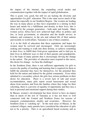the impact of the internet, the expanding social media and communication together with the impact of rapid globalisation.

This is good, very good, but still we are lacking the diversity and opportunities for girls' education. This is the same across much of the nation but especially in our Southern Region. Our women are leading the way in many places as they have responded to a stirring in their hearts and minds for a fulfillment and destiny in their lives; this is often led by the younger generation – both male and female. Many women across Africa have now achieved high office in politics and law, in local government, in education and the health service, in industry and commerce, in the arts and cultural life of their nations and recently in world affairs. Tanzania is one of these countries.

 It is in the field of education that these aspirations and hopes for women must be serviced and encouraged. Girls are increasingly seeking and wanting to walk into their destiny, to achieve something in their lives, to fulfill their God-given aspirations and to find joy in their lives in different ways to that of their parents and grandparents. It is the hope of many parents that is increasingly driving the change in the nation. The providers of education must respond to this move, this desire for change - we hear the challenge!

In the Southern Zone, there is not sufficient opportunity for girls to receive the quality of teaching and learning that is required for them to fulfill the potential they have for themselves, for the potential they hold for the nation and indeed for the global community. Even when admitted to a secondary school, the girls face serious problems in their desire for education. There is a severe lack of safe and secure accommodation, many girls report sexual harassment and sexual abuse from teachers and from the families where they lodge for their schooling, there is a poverty of equality of opportunity and they face a lack in personal and emotional support during their studies.

In Masasi, women's development has been slower to have an impact than in much of the rest of Tanzania as it has not been so well connected with the Central and Northern Zones for reasons of transport, communication, rurality and economics. However, the Southern Zone is "catching up". In the rural areas of Masasi, in the scattered villages, many parents have considered the education of girls not to be a priority. Ours is an agricultural based economy and as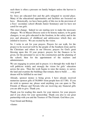such there is often a pressure on family budgets unless the harvest is very good.

So: boys are educated first and the girls relegated to second place. Many of the educational opportunities and facilities are focussed on boys. Historically, we have been guilty of this too in the provision of a boys' secondary school (Rondo Junior Seminary) and we have not cared for our girls.

This must change. Indeed we are starting now to make the necessary changes. We in Masasi Diocese seek to be history makers, to be game changers, to see girls educated in the freedom, in the safety and in the joys and pleasures of childhood and adolescence which they are entitled to receive. We are excited by the vision.

So: I write to ask for your prayers. Prayers for our walk, for the project to be received well by the people of the Southern Zone and by the Christians and others in our Diocese; prayers for God's great blessing upon this 10 year project; prayers for the finances to be given, for the personnel to see to the construction and the planning of the school; then for the appointment of the teachers and administrators.

We are engaging in action and in prayer; it is through this walk that I will publicise widely and strongly the vision for girls' education across the area. Then the work begins to raise the money, to survey the land and examine the buildings that remain, then to build …… this dream will be fulfilled in our time!

Already, sponsor money is being given. I have already received numerous sponsor gifts of  $50,000/$ = from people here (£17.00). If you do wish to sponsor me, please send anything you can spare to The Friends of Masasi and Newala who are receiving any financial gifts you are able to give. Thank you.

Thank you for reading this much, for your interest, for your prayers and if you chose for your sponsorship. Thank you also to our great partnership with you and the Trustees of The Friends. God bless you.

Your friend and Bishop,

+James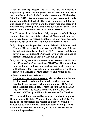**What an exciting project this is! We are tremendously impressed by what Bishop James has written and only wish we could be at the Cathedral on the afternoon of Wednesday, 14th June 2017. We can almost see the procession as it winds its way up to the Cathedral – there will be singing and dancing and music as it progresses along the dusty road and there will be some very weary people, but what a joyous occasion it will be and how we would love to be in that procession!** 

**The Trustees of the Friends are fully supportive of all Bishop James' plans for the Girls' School at Namasakata and are more than happy to receive donations via our bank account. Donations can be made in a number of different ways :** 

- **By cheque, made payable to the Friends of Masasi and Newala (Birthday Walk) and sent to Gill Hucker, 6 Erme Park, Ermington, Ivybridge PL21 9LY. If you are a UK tax payer, please complete the Gift Aid form on the last page of this newsletter, and enclose it with your cheque**
- **By BACS payment direct to our bank account with HSBC: Sort Code 40 36 22, Account No. 52840596. If you email us to let us know you have made a donation via this route, we will acknowledge your gift and, if applicable, we will also send you a Gift Aid Form to complete and return to us.**
- **Direct through our website friendsofmasasiandnewala.co.uk - via the Mydonate button. Debit or credit card donations made via this route are credited to our account each month and any Gift Aid that can be claimed is included. This is the simplest and easiest way for charities to receive donations and we are very grateful to BT for providing this free service for Charities.**

**We very much hope that similar sponsored walks, to support Bishop James' Birthday Walk, will take place in the UK. As many of our supporters are "senior citizens" we would not expect you to walk 40 miles – but how about walking 4 miles? Please be assured that whatever you do, your efforts will be very much appreciated.**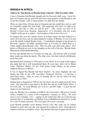#### **BRENDA IN AFRICA**

#### **Address by Tim Brooke at Brenda Stone's funeral - 25th November 2016**

I was in Tanzania with Brenda, though only for four and a half years. I now live here in Coventry and my wife Gill and I have been proud to count Brenda as one of our best friends. Like so many people, we shall miss her deeply.

There are marvellous African nuns in Tanzania and last month they sent us a gift of a beautiful candle they had made. Gill suggested: why don't we light it for Brenda? And that is what we will do now. [*The candle was then lit by Brenda's friend from Rwanda, Alphonsine*] It is inscribed with the words 'Fadhili za Bwana ni za milele', 'the Goodness of the Lord is for ever'.

In January this year the current doctor at Lulindi where she had worked as a nurse, Dr Lawi Issa, sent an email asking for a photo of Brenda. It was to be put up in the rebuilt Lulindi Health Centre. I immediately thought of the picture in the book 'Against All Odds' published here in Coventry in which there is a whole chapter about Brenda's life. That was duly sent with some others. Two photos of Brenda are now in fact hanging on the wall of the new 'Brenda Stone Maternal & Child Health Building'.

Dr Issa met Brenda here in Coventry not long ago. He told the staff at Lulindi three weeks ago about her death. The older ones, who had worked with Brenda, burst into tears.

But Brenda left Tanzania in 1976 and it is now 2016! It is a mark of the impact she made that she is still remembered there 40 years later, above all as Mama Lishe, Nutrition Mother, for her work going round villages in the remote Anglican Diocese of Masasi.

It was in Egypt that Brenda had been inspired - by army chaplains she met during her time in the ATS (Auxiliary Territorial Service) - to become a missionary nurse. After six years of training she set sail for what was then Tanganyika in 1954.

Sailing back to England in 1956 for her first leave she got caught up in the Suez crisis. Her ship had to turn back in the Red Sea and go round South Africa, a six-week trip. As usual Brenda saw it all in a positive light – it gave her the chance to see Capetown!

Like me, Brenda was a member of UMCA, the Universities' Mission to Central Africa, founded as a result of Dr Livingstone's journeys in Africa. We took more or less monastic vows – signing on the dotted line that we would not get married, that we would obey our Bishop (Trevor Huddleston) and that we would live a life of relative poverty. We were paid £30 a year + our keep.

Later Brenda probably saved Bishop Trevor's life. She came out of Lulindi hospital to greet him one day and opened his Landrover door, whereupon he started to fall out in a diabetic coma. She quickly shut him in again and ran for a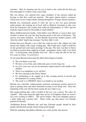stretcher. Only by shouting into his ear as loud as she could did she then get him reluctantly to swallow some warm milk.

She was always very amused how many members of the mission ended up leaving so that they could get married. The quiet, almost furtive, romances which went on are a major theme running through her 70-page African memoirs.

Brenda was enormously proud of what she saw as her two great personal achievements: the training up of local staff as Medical Assistants to take over from the Europeans (the country had achieved independence in 1961) and the dramatic improvement in the health of small children.

Many children had poor health. Little babies were OK but, as soon as they were weaned, at about one year old, they became prone to all sorts of infections. The answer was better nutrition. At first Brenda showed the mothers posters with what she called 'improving messages' but they didn't work.

Oxfam then gave Brenda a car so that she could go out to the villages not with posters but simply with a large cooking pan. She would arrive, light a small fire on the ground and cook maize porridge in the pan. The trick was then to throw in whatever protein there might be at hand - groundnuts, beans, milk, even dried fish – to demonstrate what healthy food was. This is what she did for her last five years in Africa. It saved lives!

At one point Brenda listed what she liked about being in Lulindi.

- The sun shines every day
- We have a lot of fun, and a little joke goes a lovely long way
- In a few years one can see an enormous improvement in the health of the children
- There is no telephone as yet, ah bliss!
- We have dancing in the Nurses Home
- It's exhilarating to be caught up in this exciting period of growth and development in a young country
- The work is so URGENT, there is no doubt we are needed.

Brenda was a cheerful, compassionate, practical, enormously positive person in spite of getting more and more frustrated recently at not being well. Since the beginning of the year she has been saying she was ready to go.

Her regular parting shot, with a twinkle in her eye, was a cheery 'Be sober, be vigilant!' That came from the night-time service of Compline which we used to say every evening in UMCA . The service begins 'The Lord Almighty grant us a quiet night and a perfect end'. Three weeks ago that prayer was literally granted for Brenda.

Archbishop Rowan Williams has said that Christian people should be holy people and that holy people means being joyful people.

With her unfailing cheerfulness Brenda was a truly joyful, holy person.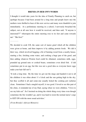#### **BRENDA IN HER OWN WORDS**

I thought it would take years for the idea of Family Planning to catch on, but (perhaps because I had been around for a long time and people knew me) the mothers were thrilled to hear of this new service and many were thankful to join immediately. At a preliminary meeting in a school, I nervously broached the subject, not at all sure how it would be received, and then said, "if anyone is interested??" whereupon the entire meeting rose to its feet and came towards me! "Me first!"

…………

We decided to cook UJI, the same sort of maize gruel which all the children were given at home, and then improve it by adding protein foods. We did it their way, which involved begging a bit of burning wood from a nearby house, starting a fire, fetching some water, and cooking a huge pan of the gruel, and then adding whatever Protein food could be obtained, sometimes milk, eggs, pounded up ground nuts or cooked beans, sometimes even dried fish. (I did sometimes put in an egg, but this was not a good idea as everyone knew eggs make your hair fall out!!)

'It took a long time. By the time we got out the mugs and handed it out to all the children it was often about 11 o'clock and the sun getting high in the sky, but they scoffed it all and some-one usually licked the cooking pot (sufuria) clean. Sometimes I had a mugful myself, it was good. I loved to see this part of the clinic, it reminded me of my Dad, saying when we were children, "I love to see my kids eat". So I insisted on doing the whole thing every time even though sometimes the fire wouldn't go, and it was hard to resist the normal nurse's urge to GET ON with the more usual activities.'

(*From Brenda's African Memoirs*)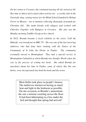*On her return to Coventry she continued nursing till she retired at 60. Her time in Africa led to much other activity too – a weekly stint in the Fairtrade shop, raising money for the Blind School founded by Bishop Trevor in Masasi – not to mention collecting thousands of pounds for Christian Aid. She made friends with refugees and worked with Churches Together with Refugees in Coventry. She also ran the Monday morning Toddler Group at her church.* 

In 2012, Brenda became a local celebrity as the series 'Call the *Midwife' was broadcast on BBC TV. She was one of the last surviving midwives who had done their training with the Sisters of the Community of St John the Divine in Poplar. The community eventually moved to Birmingham. They had a special service in Birmingham Cathedral at which Brenda met Jennifer Worth when she was in the process of writing her book. She asked Brenda for anecdotes about her time in Poplar, some of which, like this one below, were incorporated into both the book and the series.* 

> Most births took place in people's houses. The midwives insisted on having as much heat and light in the bedroom as possible. On one occasion, to Brenda's amazement, she saw a tortoise crawling across the floor. It had been hibernating in a box under the bed and thought that spring had arrived!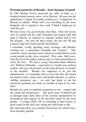#### **Personal memories of Brenda – from Susanna Grunsell**

In 1967 Bishop Trevor answered my offer of help, as a hospital-trained nursery nurse, in his Diocese. He gave me the opportunity to spend 18 months working as a "companion" to Brenda at Lulindi. When told I was travelling by bus from Kampala, she is reputed to have said "I think I might get on with this girl".

We have been very good friends since then. Once left on our own in Lulindi and the other European and trained staff had gone to Masasi, we realized we urgently needed staff to run the hospital – not only the three wards, but also the TB and Leprosy long term wards and the Out Patients.

I remember vividly spending many evenings with Brenda, working out a curriculum, timetable and "lectures". This would be a basic nursing course which we would deliver to the young people as they were recruited. They came, both sexes, from the local Secondary Schools and we interviewed them to select the best. We had a young Tanzanian Rural Medical Aid. William Chikumba – equivalent to a fourth year medical student, who gave the lectures on the main diseases we treated in the hospital. Brenda was supposed to be just the administrator, as I remember, but as ever in her life, she turned her hand to tutor, senior nurse and health educator, as well as staffing emergency ops – we only had funds to run the electricity generator for about six months in total of my time there.

Brenda was such a wonderful companion to me – coping with my youth and inexperience. Her great sense of humour got us through many dark times of the extreme malnutrition we encountered and tragedy of life decisions made by the local people. A young child's life or returning to their homes to plant crops for the next year, taking the child home to die.

My short time there was certainly God given, for which I have been eternally grateful.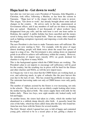# **Hapa kazi tu - Get down to work!**

Just after my visit last year a new President of Tanzania, John Magufuli, a Christian, took office, following a Muslim, as has been the custom in Tanzania. "Hapa kazi tu" is the slogan with which he came to power. This slogan, "Get down to work", has already brought about some radical changes in the country. He arrives early in the day, unannounced, at Government offices, and if any members of staff are not there or sleeping they are sacked. Hundreds, if not thousands of 'ghost workers' have disappeared from pay rolls, and the rush hour is now one hour earlier in Dodoma, the capital! A public holiday has been cancelled and the money saved is being used to buy hospital beds. There are many other examples such as fighting corruption vigorously and imposing a work ethic based on his slogan.

The new President is also keen to make Tanzania more self-sufficient. His policies are now starting to 'bite'. For example, with the price of sugar almost doubling, people will think twice about the usual four spoons of sugar in a mug of tea. The Government is also cutting down on imported goods in an effort to achieve self-sufficiency within the country. However, the introduction of import taxes (mostly 20%) on goods destined for charities is a big blow to many NGOs.

This is the background against which the CMM Sisters are working. The President's plan to cut imports to encourage self sufficiency will be good for the country, but the resulting rise in prices will be hard for the Sisters and other charities and NGOs, as will the new import taxes.

As I began my visit it was clear that the CMM Sisters are working hard, as ever, and achieving much, in spite of setbacks like the poor harvest this year due to the lack of rain. This has created big problems in many areas. The rainwater harvesting tanks not only at CMM houses were only partly filled.

The number of orphans assisted by the Sisters is ever increasing, not only in the schools. They took me to see an elderly couple looking after twins, the mother having died at birth. The sisters supply them with milk for the babies daily. These two boys, now eight months old, looked really well fed and happy.

At another house, the sisters had taken in a baby, which the mother had abandoned in a rubbish dump directly after birth. A passerby heard the cries of the baby, which has been called Anna after the lady who found her. Anna has now been with the Sisters for several months.

The Girls' Hostel, which I opened last year, is full of happy and contented young girls, relieved to be in a secure place at last, getting a chance to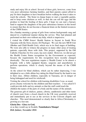study and enjoy life at school. Several of these girls, however, come from very poor subsistence farming families, and their parents cannot afford to pay for their daughters to have breakfast before walking the hour it takes to reach the schools. The Sister in charge hopes to start a vegetable garden, and to keep some chickens as well, so that she can sell the eggs and the produce to fund the feeding of these girls. I hope we can start a bursary fund to support the daughters of the poor subsistence farmers in this hostel to ensure that they do not become a financial drain on the limited resources of the CMM Sisters.

On a Sunday morning a group of girls from various backgrounds sang and danced in a traditional manner during the service. They had planned and performed on their own without any help, which is impressive.

I visited the CMM Sisters' Health Station in Sayuni in South West Tanzania with the Swiss doctor, Dr Fluckiger. We saw the new MCH Unit (Mother and Child Health Unit), which was in its final stages of building. We were also able to witness the progress in many other areas of treating patients, especially those with Aids. This project, supported by the Old Catholic Churches for five years, has now ended. However, we did not get the Health Centre Status recognition by the Government as expected, because the requirements for this recognition have recently changed drastically. The new regulations require a 'Health Centre' to be almost a hospital, with a fully equipped theatre, surgeons and anaesthetists to perform operations, which is clearly beyond the means of the CMM Sisters.

At the school for blind children, which can be rather depressing, I was delighted to see a little albino boy taking his blind friend by the hand to run to their class. Albino children, especially in Tanzania, are in danger of being kidnapped and used for witchcraft.

Visiting the school for children with learning disabilities I was, as usual, given a hearty welcome by the children and their teachers. I was asked if I could provide dolls and toy animals so that the staff could teach the

children the names of the parts of a body and the names of the animals.

The generous gift of chalices, patens, ciboria, candlesticks and other items of church ware from a closed church in the UK were gratefully received and immediately put to use at the services in the Convent chapels and churches. This need demonstrated so clearly that in Africa Christianity is growing at a fast rate.

**Gloria Deo - Glory to God,** 

or as they would say in Swahili, **Tumshukuru Mungu!** *Dirk Juttner, November 2016*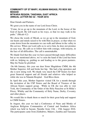#### **COMMUNITY OF ST MARY, KILIMANI MASASI, PO BOX 502 MASASI MTWARA REGION, TANZANIA, EAST AFRICA ANNUAL LETTER NO 32 - YEAR 2016**

Dear friends and Partners,

We greet you in the name of our Lord Jesus Christ.

"Come, let us go up to the mountain of the Lord, to the house of the God of Jacob. He will teach us his ways, so that we may walk in his paths." (Micah 4:2)

We chose the words of Micah, as we go up to the mountain of God, our hearts and minds raised to be with Him in prayer, so that when we come down from the mountain we can walk and labour in the valley in His service. When our Lord calls us to serve him, he does not promise an easy way. He calls us to follow him with courage, with tenacity, in the face of all difficulties. The call is unmistakable.

We thank God that this year we have passed through many difficulties but as we mentioned above, we've seen the hand of the Lord has been with us, helping us, guiding us and leading us to the green pastures. May his Name be glorified.

 On 6th January, this year our dear Sister Magdalene CMM, the 4th Mother Superior, fell and broke her hip. She had a hip operation and she is now doing well. We thank very much the CSP Sisters for their great financial support and all friends and relatives who helped us while she was in Ndanda Hospital. God Bless them.

In April this year, Mother Superior visited UK for a month through the invitation of the CSP Sisters and the Board of Trustees of the African Sisters support group. While in UK she was able to visit York, the Community of the Order of the Holy Paraclete at St Hilda's Priory, Whitby and the Community of Holy Name, Derby, Coventry and other places.

We would like to thank them so much for their great help and support to CMM Sisters.

In August, this year we had a Conference of Nuns and Monks of Anglican Religious Communities of Central and Southern Africa which was held in Sayuni, Njombe from 11th – 15th August 2016. The participants came from Zimbabwe, Malawi, Zambia and Tanzania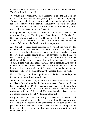which hosted the Conference and the theme of the Conference was: The Growth in Religious Life.

We would like to thank Dr Max of Partner Sein and the Old Catholic Church of Switzerland for their great help to our Sayuni Dispensary. Through their help this year we were able to extend another building for Reproductive Child Health, Preventative Mother to Child Transmission and Care and Treatment Clinic; also for helping other projects for the Sisters in Sayuni Convent.

Our Njombe Nursery School had Standard VII School Leavers for the first time this year. The Regional Commissioner of Njombe, Dr Rehema Nchimbi was the Guest of Honour and the former Archbishop of the Anglican Church of Tanzania the Rt Revd Donald Mtetemela was the Celebrant at the Service held for that purpose.

Also the School needs dormitories for the boys and girls who live far from the school and where the school bus can't reach. It is not easy for the parents who have been transferred from Njombe to other regions to leave their children behind as there in nowhere safe for them. We need your help so that we can build the dormitories to help the children and their parents in case of immediate transfers. The results of their exams were very good. All Class seven students have passed to Form I. In the District level they took the second place and in Regional level they took the fifth place. Congratulations to the teachers of St Mary's Pre and Primary School for their good work.

Newala Nursery School has a problem over the land but we hope by the end of this year it will be sorted out.

We would like to thank very much the Friends of Masasi for helping the Sisters Education at Rondo Junior Seminary. One of the Sisters has completed Form IV this year and also thanks for helping two Sisters studying at St John's University College, Dodoma; one is taking an Agriculture & Livestock Course and another Sister is taking a Diploma Course in Social Welfare Development.

Early in November this year a big fire occurred at Sayuni and destroyed the timber fields; it has caused a big loss. The people whose fields have been destroyed are demanding to be paid as soon as possible so that they can plant new trees next January to replace the burnt ones. Please pray for the Sisters as they are worried they don't know what to do.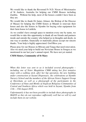We would like to thank the Reverend Fr N.D. Nixon of Missionaries of St Andrew, Australia for helping our CMM Houses including Zambia. Without his help, most of the houses couldn't have been as they are.

We would like to thank Dr James Almasi, the Bishop of the Diocese of Masasi for helping the CMM Sisters at Mtandi to renovate their house and also the Sisters in Njombe for buying solar equipment for their farm house in Lutikila.

As we couldn't have enough space to mention every one by name, we would like to take this opportunity to thank all our friends and partners inside and outside the country who helped us in thoughts and deeds, in one way or another, financially or materially please accept our sincere thanks. Your help is highly appreciated. God Bless you.

Please pray for our Houses in Mtwara and Tanga that need renovation. Also we need your help to build our Noviciate House in Songea as we mentioned in our last year's annual report. We have not yet started.

#### **CMM Sisters, Community of St Mary**

*When this letter was sent to us it included several photographs – including one of Sister Magdalene CMM taking her first tentative steps with a walking stick, after her hip operation, the new building under construction at Sayuni Dispensary, the celebrations at Njombe Nursery School and the members of the African Sisters Support Group at Shoreham, as well as a photograph of the participants in the Conference of Nuns and Monks of Anglican Religious Communities of Central and Southern Africa which was held in Sayuni, Njombe from 11th – 15th August 2016.*

*Unfortunately it has not been possible to include these photographs in M&NN as they do not reproduce sufficiently well but we will try and include them on our website.*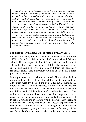*We are pleased to print the report on the following page from Steve Arbery, one of the Trustees of the Friends, who has undertaken a personal challenge, together with a friend, to support the Blind Unit at Mtandi Primary School. This unit was established by Bishop Trevor Huddleston and was initially a Diocesan initiative. Later it became part of the Government-funded Mtandi Primary School, which is adjacent to the Cathedral complex and very familiar to anyone who has ever visited Masasi. Brenda Stone worked tirelessly to raise money and to support the children in this special unit; she was particularly anxious to ensure that sun hats were available for all the children with albinism – seemingly perhaps a very small thing, but Brenda knew that how important it was for these children to have protection from the effect of the Tanzanian sunshine.* 

#### **Fundraising for the Blind Unit at Mtandi Primary School**

Last year (2016) my optician friend and I decided we would raise £5000 to help the children in the blind unit at Mtandi Primary school. The unit is part of Mtandi Primary School and has about 70 pupils, the primary school over 1000. The children in the special unit have a variety of problems with their sight and many are totally blind. Some suffer from albinism and some have other physical difficulties.

In the previous issue of Masasi & Newala News I described in more detail the plight of the blind children at the unit and the difficulties faced by disabled children in Tanzania. Despite the efforts of their carers and teachers, the children in the unit are impoverished educationally. Their general wellbeing, especially the children with albinism, is also of considerable concern. The facilities at the unit - classrooms, educational equipment, play areas - are all far below the minimum standard we would expect to see in a similar unit in the first world. The unit lacks specialist equipment for teaching Braille and as a result opportunities to read books in Braille do not exist. The sight of some children could be improved by surgical intervention but for nearly all the cost (about £400) is far too expensive and because the operations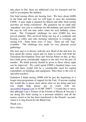take place in Dar, there are additional costs for transport and for staff to accompany the children.

Our fund raising efforts are bearing fruit. We have about £4000 in the bank and this year we will hope to raise the remaining £1000. A quiz night is planned for March and other fund raising activities are being considered. My grandson ran an eight mile 'marathon' last year to celebrate his 8th birthday and raised £200. He says he will run nine miles when his next birthday comes round. The 'Centipede' challenge (to raise £1000) has also proved popular. This involved being one leg of a centipede and hosting a coffee and cake morning (afternoon or evening) and raising £10. Some hosts were 12 legs! There are still 'legs' available. The challenge also made for very pleasant social gatherings.

Our next step is to discuss with the new Head of the unit how we best spend the money raised and we hope to work with both the Tanzanian Development Trust and African Palms on this, as they have both given considerable support to the unit over the past 18 months. We think priority should be given to those whose sight can be improved. We could spend £5000 a hundred times over and still there would still be a considerable need for capital expenditure on buildings and equipment. Then there is the cost of specialist teachers.

Somehow I think raising £5000 will be just the beginning of a longer term programme of support for the Unit. If anyone reading this would like to know more about what we are doing and how you might help please get in touch with me: stevearbery@gmail.com or 01386 750877. I would like to stress that although I am a Trustee of the Friends of Masasi & Newala, I am doing this fund raising as a personal initiative and all the money raised so far has been transferred to the Friends' account, where it is ring fenced for the Blind Unit.

Thank you.

*Steve Arbery*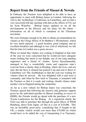# **Report from the Friends of Masasi & Newala**

In February the Trustees were delighted to be able to have an opportunity to meet with Bishop James in London, following his visit to the Archbishop's Conference in Canterbury, and we had a very successful full day meeting with him at the offices of US, not far from Waterloo. Bishop James updated us on all the developments in the Diocese and his plans for the future – information on all of which is contained in his Christmas newsletter.

We were fortunate enough to be able to obtain accommodation for +James at the Clergy House of St Matthew's Westminster, which he very much enjoyed – a good location, good company and an excellent breakfast and although it was a bit of whirlwind, we felt that his time in London was a great success.

When we heard that +James was coming to England at that time of the year we were concerned that he would not have adequate warm clothing but much to our delight, one of our long-standing supporters and a friend of +James, Sylvia Kassulamemba, managed to buy a wonderfully warm and capacious man's overcoat from a charity shop in Reading, where she lives, and not only did she have it cleaned but packed it up and sent it direct to Canterbury (c/o The Archbishop) so that the coat was waiting for +James when he arrived. He was delighted with it and wore it constantly, and when he flew back to Tanzania, it remained with the Trustees so that it is ready and waiting, should +James make another visit to England during the wintertime.

As far as a new vehicle for Bishop James was concerned, the Trustees agreed that following the massive and generous support given by the individual parishes in Masasi (totalling in excess of £8000), the Friends would go ahead with the purchase of a new Toyota Landcruiser for the Bishop. As a registered charity the Trust was able to purchase this through the good offices of WEM Hamburg, direct from Japan, cif Dar at a cost of £18,806. This was an incredibly good price, considering that if bought in the UK, a similar vehicle would cost more than £35,000 (to which would have to be added the cost of transporting it to Tanzania).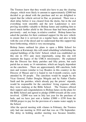The Trustees knew that they would also have to pay the clearing charges, which were likely to amount to approximately £2000 but decided to go ahead with the purchase and we are delighted to report that the vehicle arrived in Dar, as promised. There was a short delay before it was cleared from the docks, but in the end everything went smoothly and the new Landcruiser is now proving incredibly valuable to Bishop James and enabling him to travel much further afield in the Diocese than had been possible previously – and, we hope, in relative comfort. Bishop James has asked the parishes for their continued support for the new vehicle to ensure that it is serviced on a regular basis, and also to help with the cost of the diesel and we understand that this support has been forthcoming, which is very encouraging.

Bishop James outlined his plans to open a Bible School for catechists at Kwintonji; this will entail rebuilding/ refurbishing the original buildings of the Girls' School, which was established on this site in 1911 and, most importantly, using this site will maintain the legacy of the UMCA missionaries. He explained that the Diocese has thirty parishes and fifty priests, but each parish has as many as 14 outstations, which are largely dependent on the catechists. There are approximately 400 catechists, both men and women (similar to Lay Readers in this country) in the Diocese of Masasi and it is hoped to run 6-month courses, each attended by 50 people. The catechists would be taught by the Vicar General, Father Douglas Msigala and by Father Charles Saidi and the parishes, which already pay the priests' stipends, would be responsible for the catechists' living expenses while they were studying at the Bible School. The Trustees offered their support and congratulations to Bishop James on the plans for the Bible School and agreed to pledge £5000 towards all the costs involved. £2000 was sent in July last year for the purchase of beds, and we have just sent a further  $£3000 + £350$  from the SWIM project to pay for the provision of a mains water supply to the School.

After the special meeting with +James in February, the Trustees only had one meeting in 2016 and that was on 17th September. The delay in holding another meeting was because Jennifer,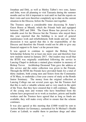Jonathan and Dirk, as well as Shirley Talbot's two sons, James and John, were all planning to visit Tanzania during the summer months and we felt it important to wait until we had the reports on their visits and were therefore completely up to date on the current situation in the Diocese, before the Trustees met together.

The Trustees spent a considerable time discussing St Anne's Guest House at Mtandi, which the Friends built and equipped between 2002 and 2004. The Guest House has proved to be a valuable asset for the Diocese but the Trustees who stayed there this year reported that the building is in need of general maintenance work and refurbishment, both inside and out. After discussion it was agreed that this is the responsibility of the Diocese and therefore the Friends would not be able to give any financial support to St Anne's at the present time.

It was agreed to continue to support the Bishop Trevor Scholarship Scheme for at least one more year and therefore four new students started in January 2017. Our readers may recall that the BTSS was originally established following the service in Lancing Chapel to dedicate a stained glass window in memory of Bishop Trevor. Archbishop Desmond Tutu gave the address at this service and the entire collection was given to the Friends. Through the BTSS the Friends have provided funds for a total of thirty students, both young men and Sisters from the Community of St Mary, to undertake a four-year course of study at the Rondo Junior Seminary. The money from the original collection at Lancing College ran out several years ago, but the Trustees feel that this is such a valuable scheme and so very much in the spirit of the Trust, that they have ensured that it still continues. Many of the young men and women who have benefitted from the scheme have progressed on to work as teachers, priests and health workers and the Trustees have agreed that as long as funds are available, they will make every effort to ensure that the scheme continues.

It was also agreed at this meeting that £1000 would be sent to Action Medeor (in Germany), earmarked for St Michael's Health Centre at Lulindi, to enable them to purchase drugs and other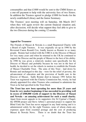consumables and that £1000 would be sent to the CMM Sisters as a one-off payment to help with the university fees of two Sisters. In addition the Trustees agreed to pledge £1000 for books for the newly established Library and the Junior Seminary.

The Trustees' next meeting will on Saturday, 4th March 2017 when they will again review the current financial situation and, after discussion, will decide what support they feel able to give to the two Dioceses during the coming 12 months.

. \*\*\*\*\*\*\*\*\*\*\*\*\*\*\*\*\*\*\*

#### **Appeal for Treasurer**

The Friends of Masasi & Newala is a small Registered Charity with a Board of eight Trustees. It was originally set up in 1990 by the Reverend Canon Ronald Cox, fondly known as Ronnie to so many people. Ronnie had worked with the UMCA in the Diocese of Masasi for very many years and when he returned to the UK he continued to support the Diocese and the people of Masasi to the best of his ability. In 1990 he was given a relatively modest sum specifically for the Diocese of Masasi and probably because he was not in the best of health, he decided to set the wheels in motion to establish the Friends of Masasi Charitable Trust. The aims of this Trust - laid down by Ronnie and unchanged to this day - were for the relief of poverty, the advancement of education and the provision of health care in the Diocese of Masasi. Sadly Ronnie died in January 1991 before the Trust was registered with the Charity Commission but, wisely, he had already appointed five other Trustees who continued to administer the Trust as he had specified in the Trust Deed.

**The Trust has now been operating for more than 25 years and from its very modest beginnings it has succeeded in providing well in excess of £500,000 worth of support to the Dioceses of Masasi and Newala - an amazing achievement for such a small charity.** Apart from recent appeals to its supporters (for St Cyprian's Chapel, the SWIM project and Steve Arbery's personal project to support the Blind Unit) the Trust has never engaged in any fund raising and it is administered solely by the eight Trustees, none of whom claim any expenses apart from essential postage and the cost of producing Masasi & Newala News. There is no doubt that the Trust has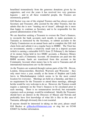benefitted tremendously from the generous donations given by its supporters, and over the years it has received two very generous legacies – and to all these wonderful people, the Trustees are enormously grateful.

Gill Hucker was one of the original Trustees and has always acted as Secretary and Treasurer, ably assisted by the other Trustees, but she admits that she is now "running out of steam", although she is more than happy to continue as Secretary and to be responsible for the general administration of the Trust.

We are therefore seeking a Treasurer to oversee the Trust's finances, to reconcile the bank accounts each month, to make payments to Tanzania as instructed by the Secretary, to submit accounts to the Charity Commission on an annual basis and to complete the Gift Aid claim form and submit it on a regular basis to HMRC. The Trust has no investments, merely a relatively small sum in a deposit account (which is earning a miserable 0.01% from 22 February!), the balance of its money being held in two HSBC accounts, a Business Money Manager and a Community Account. All donations are paid into the BMM account, funds are transferred from this account to the Community Account when money has to be sent to Tanzania and all international transactions are via the internet.

As the Trustees are scattered through various parts of the UK - Devon, London, Gloucestershire, Hereford, Warwick and Worcester - they only meet twice a year, usually at the home of Stephen and Linda Jarvis in Minchinhampton (which seems to be the most central location for everyone). Meetings are held on a Saturday, and there is no requirement for the Treasurer to attend these meetings, although he/she would be very welcome to do so. However, the Trustees would require a statement on the Trust's finances to be circulated prior to each meeting. There is no remuneration involved, but reasonable expenses such as postage, would be reimbursed. Ideally the Treasurer should have an interest in the Dioceses of Masasi and Newala and preferably have first knowledge of what life is like in this area of Tanzania, although obviously this is not essential.

If anyone should be interested in taking on this post, please email Gill Hucker at gillhucker@btinternet.com or ring her on 01548 830407 for further information.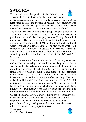# **SWIM 2016**

To try and raise the profile of the FoM&N, the Trustees decided to hold a regular event, such as a



coffee and cake morning, which would also give an opportunity to raise funds to assist the Diocese of Masasi. This suggestion was discussed with the Bishop of Masasi, and Bishop James came forward with a request to support water projects in Masasi.

The initial idea was to have small group events nationwide, all around the same date, each raising a small amount towards a grand total to fund the two projects that Bishop James had nominated. The two schemes that needed funding were, new guttering on the north side of Mtandi Cathedral, and additional water conservation at Rondo School. The plan was to write to all supporters on the Friends' database, who received Masasi & Newala News, and invite them to hold a Coffee Morning or something similar, around the weekend of the  $24<sup>th</sup>$  and  $25<sup>th</sup>$ September.

Well - the response from all the readers of this magazine was nothing short of amazing. Almost by return cheques were being sent in, and by the early summer these donations had amounted to more than our original target of £1200 - and we had not held a single Coffee & Cake Morning at that point! Some supporters held a barbecue, others organised a raffle; there was a breakfast before church, as well as a cake and coffee morning. The total, assisted by Gift Aided donations, has now exceeded £3000. All of this will be spent on water projects in Masasi, and the local Diocesan team are considering which new ventures should have priority. We have already been asked to fund the installation of running water into the Bible School which will cost around £300.

On behalf of all the Trustees I would like to say a big thank you to all the readers of M&NN; you have been wonderful in your response to our **S**ave **W**ater **I**n **M**asasi campaign, and the proceeds are already making and will continue to make a vast difference to the lives of people in Masasi.

Thank you. *Revd Stephen J Jarvis* 

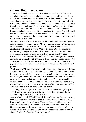# **Connecting Classrooms**

The British Council continues to offer schools the chance to link with schools in Tanzania and I am glad to say that my school has been able to sustain a link since 2008. St Barnabas C.E. Primary School, Worcester, where I am a teacher, has been linked to Mnara Primary School in Lindi Rural School District since then and many teachers have visited each other in each school. As Mnara Primary school is a stone's throw from Rondo Junior Seminary, our link has not only enabled us to work alongside Mnara, but also to get to know Rondo teachers. Sadly, the British Council has now withdrawn support for Tanzanian teachers to visit the UK as there are too many concerns in the ongoing immigration situation, that they will fail to return to Tanzania.

We have not visited since February 2015 but with modern technology it is easy to keep in touch these days. At the beginning of our partnership there were many challenges with communication, but smartphones have revolutionised keeping in touch. One of the difficulties for schools is typing and printing costs as the staff set many tests and also write their own national examination papers, which are then marked by other teachers; there are no centrally set O levels! This is an expensive process and sometimes fraught with challenges if the electricity supply stops. With a smartphone, teachers have been able to send photos of handwritten papers for me to type and these can then be emailed back to Tanzania to be printed.

The Diocese of Masasi is always so welcoming to us when we visit Mnara. To climb the 19 km up to the Rondo plateau would be an insurmountable journey if we were left to our own means, which would be the back of a motorbike, but thankfully, the Rondo Junior Seminary Land Rover comes down to the main road at Nyengedi to collect us. We have been able to share in many events in the Diocese over the years and it is always lovely to go to Masasi and to be able to show our pupils that they are part of the Anglican Church that stretches across the world.

Technology is such a powerful tool and as so many teachers get to grips with it we are exploring the possibilities of how to help Rondo Junior Seminary in particular to benefit from this.

An organisation called World Possible has collected together a set of freely available educational resources such as science videos, English stories, history and geography textbooks. These can be used without internet connections as they are all stored on a memory card or a flash drive. However, printed books are still vital and we were very happy when our school library was redesigned and we were able to reuse many books in simple English for Rondo's Preform 1 to read.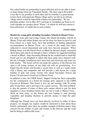Our school holds our partnership in great affection and we are able to learn so many things from our Tanzanian friends. My class sing in Kiswahili every day to say goodbye to each other and we consider it a great honour to have been welcomed into Mnara village and to see life in an African village which would be impossible without our partnership. We are planning another visit in May 2017 and hope to strengthen our bond as we work together on a project about "Waste", of which we will have much to learn about how we tackle this in each country.

#### *Jennifer Oakley*

#### **Hostels for young girls attending Secondary Schools in Masasi Town**

For many years girls and young women who attend Secondary schools in Masasi Town and whose homes are too far away for them to travel to and from school on a daily basis, have had problems in finding appropriate accommodation in Masasi Town. As a result of this many have been subjected to sexual harassment and some have become pregnant. When Bishop James was the Parish Priest at Mkuti he became deeply concerned about these girls and in an attempt to find a solution, he suggested building a hostel at Mkuti. Since becoming Bishop he has worked hard to fund this hostel and we are delighted to report that these plans have matured well; the site is bought, foundations have been laid, and electricity and water are both nearby. The hostel will be run under the auspices of the Diocese but open to all young women, of any faith and with no proselytising. It is hoped that the hostel will become a secure base as well as a study centre with a library and computers and will provide a safe haven for a large number of girls and young women who attend Secondary School and Forms 5-6 and need to board out in Masasi Town.

In addition to this, the CMM Sisters' Support Group has been responsible for the construction of a hostel for teenage girls, adjacent to the CMM Convent at Kilimani. This hostel is now up and running, with 20 young girls living there, and is proving to be a great success. The only problem is that the parents of some of these girls cannot afford to pay for their daughters to have breakfast before they set out to walk to Masasi Town about an hour away, so the Sisters are now hoping to start growing vegetables and keeping chickens to provide money to fund the girls' breakfasts.

Although the Friends have not been directly involved in either of these projects, we thought our readers would be interested to hear about these hostels, particularly since they are another example of Bishop James' deep concern for the welfare of girls and women in the Diocese and the work that he doing to address this issue.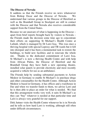#### **The Diocese of Newala**

It saddens us that the Friends receive no news whatsoever from Bishop Oscar and the Diocese of Newala. We understand that various groups in the Diocese of Hereford as well as the Bramhall Group in Stockport are still in contact with the Diocese and that Newala also receives considerable support from the United States.

Because we are unaware of what is happening in the Diocese – apart from brief reports brought back by visitors to Newala – the Friends made the decision some time ago to concentrate their efforts on supporting St Michael's Health Centre at Lulindi, which is managed by Dr Lawi Issa. This was once a thriving hospital with special Leprosy and TB wards but it fell into disrepair and it has been a monumental task to restore the buildings, to build new facilities and to renovate the whole site. Thanks to the dedicated commitment of Lawi Issa, St Michael's is now a thriving Health Centre and with help from African Palms, the Diocese of Hereford and the Bramhall Group they have built a new operating theatre, installed solar panels to provide electricity and most recently acquired a vehicle for use as an ambulance.

The Friends help by sending substantial payments to Action Medeor in Germany to enable St Michael's to purchase drugs and other consumables for the Health Centre. Although Action Medeor is based in Germany, it has offices and a warehouse in Dar and when we transfer funds to them, we advise Lawi and he is then able to place an order for what is needed. We find that this arrangement works very well, it suits St Michael's as they can "buy" whatever is needed at that particular time and Lawi is always very grateful for our support.

Dirk Juttner visits the Health Centre whenever he is in Newala and he tells us how hard Lawi is working, although still often under difficult circumstances.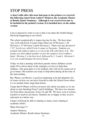# STOP PRESS

**A short while after this issue had gone to the printers we received the following report from Andrew Mchawa, the Academic Master at Rondo Junior Seminary. Although it was received too late to be included in the printed version, it is included here, in the online version** 

I am so pleased to write to you so that I can share the fruitful things that keep happening in our school.

The school academically is improving day by day. We have done very well with Form 4 exams where there are 10 Division 1, 20 Division 2, 27 Division 3 and 6 Division 4. There isn't any division 0. *("O" Levels are called Form 4 exams in Tanzania. Students are graded with subjects taken as we do in the UK with letters A-E. The grades are then added together to give the student a level within a band. Division 1 is the best level, followed by 2, 3 and 4. Division 0 is as you would imagine the lowest band.* 

Today we had a meeting with those parents whose children scored under 50 to advise them of the strategies we have to help their children. Our great plan is to let students who will sit for exams not to go to home. Our teachers are ready to help them during all the time of the June holiday.

Rev Phares, our Rector, is good at organising as he has planned a lot of issues on how we can move forward to take the School from where it is to another better stage than before.

I hope that Fr Phares will let you know also about our plans as we are about to start finishing Form 5 and 6 buildings. We have two streams for Form three classrooms, Form 3A and 3B. We have a lot of science teachers to teach in all classes. Students are so happy as they receive education in a better way.

I hope I will keep be able to sharing so many issues relating to academic affairs.

Many blessings!!!!

Andrew Mchawa, Academic Master, Rondo Junior Seminary